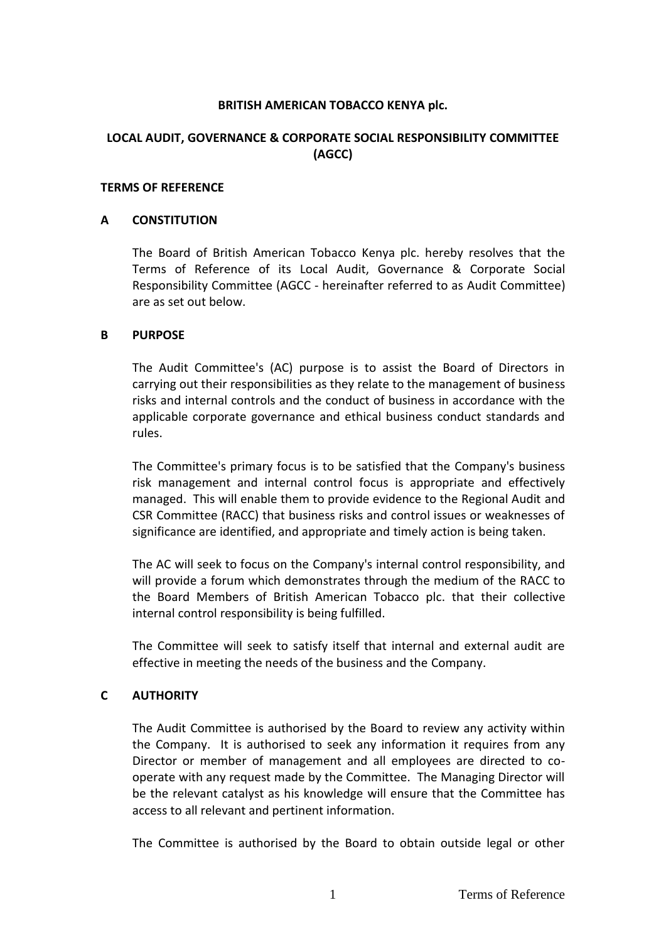## **BRITISH AMERICAN TOBACCO KENYA plc.**

# **LOCAL AUDIT, GOVERNANCE & CORPORATE SOCIAL RESPONSIBILITY COMMITTEE (AGCC)**

### **TERMS OF REFERENCE**

### **A CONSTITUTION**

The Board of British American Tobacco Kenya plc. hereby resolves that the Terms of Reference of its Local Audit, Governance & Corporate Social Responsibility Committee (AGCC - hereinafter referred to as Audit Committee) are as set out below.

### **B PURPOSE**

The Audit Committee's (AC) purpose is to assist the Board of Directors in carrying out their responsibilities as they relate to the management of business risks and internal controls and the conduct of business in accordance with the applicable corporate governance and ethical business conduct standards and rules.

The Committee's primary focus is to be satisfied that the Company's business risk management and internal control focus is appropriate and effectively managed. This will enable them to provide evidence to the Regional Audit and CSR Committee (RACC) that business risks and control issues or weaknesses of significance are identified, and appropriate and timely action is being taken.

The AC will seek to focus on the Company's internal control responsibility, and will provide a forum which demonstrates through the medium of the RACC to the Board Members of British American Tobacco plc. that their collective internal control responsibility is being fulfilled.

The Committee will seek to satisfy itself that internal and external audit are effective in meeting the needs of the business and the Company.

## **C AUTHORITY**

The Audit Committee is authorised by the Board to review any activity within the Company. It is authorised to seek any information it requires from any Director or member of management and all employees are directed to cooperate with any request made by the Committee. The Managing Director will be the relevant catalyst as his knowledge will ensure that the Committee has access to all relevant and pertinent information.

The Committee is authorised by the Board to obtain outside legal or other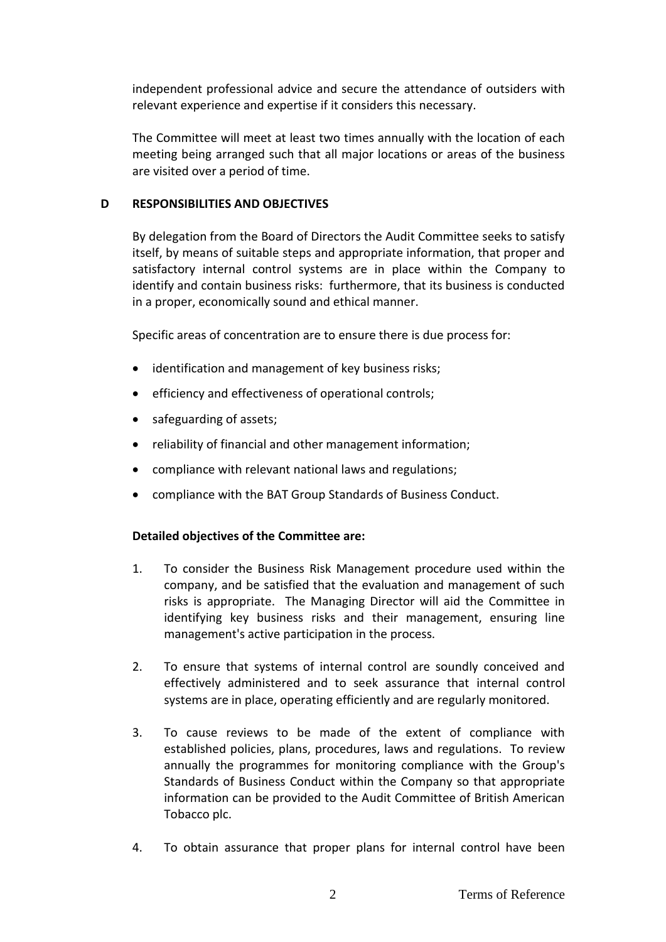independent professional advice and secure the attendance of outsiders with relevant experience and expertise if it considers this necessary.

The Committee will meet at least two times annually with the location of each meeting being arranged such that all major locations or areas of the business are visited over a period of time.

## **D RESPONSIBILITIES AND OBJECTIVES**

By delegation from the Board of Directors the Audit Committee seeks to satisfy itself, by means of suitable steps and appropriate information, that proper and satisfactory internal control systems are in place within the Company to identify and contain business risks: furthermore, that its business is conducted in a proper, economically sound and ethical manner.

Specific areas of concentration are to ensure there is due process for:

- identification and management of key business risks;
- efficiency and effectiveness of operational controls;
- safeguarding of assets;
- reliability of financial and other management information;
- compliance with relevant national laws and regulations;
- compliance with the BAT Group Standards of Business Conduct.

# **Detailed objectives of the Committee are:**

- 1. To consider the Business Risk Management procedure used within the company, and be satisfied that the evaluation and management of such risks is appropriate. The Managing Director will aid the Committee in identifying key business risks and their management, ensuring line management's active participation in the process.
- 2. To ensure that systems of internal control are soundly conceived and effectively administered and to seek assurance that internal control systems are in place, operating efficiently and are regularly monitored.
- 3. To cause reviews to be made of the extent of compliance with established policies, plans, procedures, laws and regulations. To review annually the programmes for monitoring compliance with the Group's Standards of Business Conduct within the Company so that appropriate information can be provided to the Audit Committee of British American Tobacco plc.
- 4. To obtain assurance that proper plans for internal control have been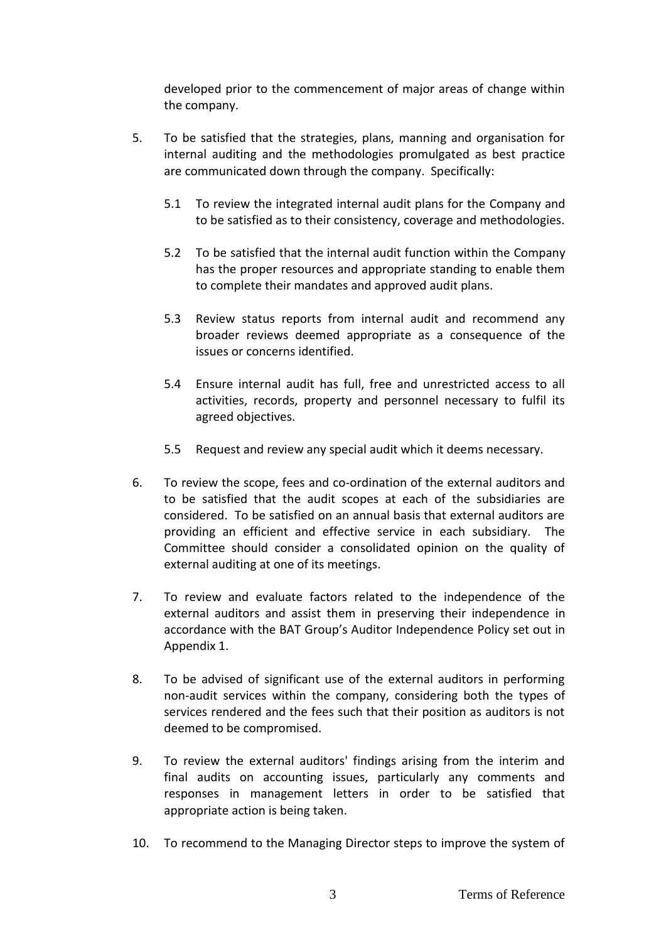developed prior to the commencement of major areas of change within the company.

- 5. To be satisfied that the strategies, plans, manning and organisation for internal auditing and the methodologies promulgated as best practice are communicated down through the company. Specifically:
	- 5.1 To review the integrated internal audit plans for the Company and to be satisfied as to their consistency, coverage and methodologies.
	- 5.2 To be satisfied that the internal audit function within the Company has the proper resources and appropriate standing to enable them to complete their mandates and approved audit plans.
	- 5.3 Review status reports from internal audit and recommend any broader reviews deemed appropriate as a consequence of the issues or concerns identified.
	- 5.4 Ensure internal audit has full, free and unrestricted access to all activities, records, property and personnel necessary to fulfil its agreed objectives.
	- 5.5 Request and review any special audit which it deems necessary.
- 6. To review the scope, fees and co-ordination of the external auditors and to be satisfied that the audit scopes at each of the subsidiaries are considered. To be satisfied on an annual basis that external auditors are providing an efficient and effective service in each subsidiary. The Committee should consider a consolidated opinion on the quality of external auditing at one of its meetings.
- 7. To review and evaluate factors related to the independence of the external auditors and assist them in preserving their independence in accordance with the BAT Group's Auditor Independence Policy set out in Appendix 1.
- 8. To be advised of significant use of the external auditors in performing non-audit services within the company, considering both the types of services rendered and the fees such that their position as auditors is not deemed to be compromised.
- 9. To review the external auditors' findings arising from the interim and final audits on accounting issues, particularly any comments and responses in management letters in order to be satisfied that appropriate action is being taken.
- 10. To recommend to the Managing Director steps to improve the system of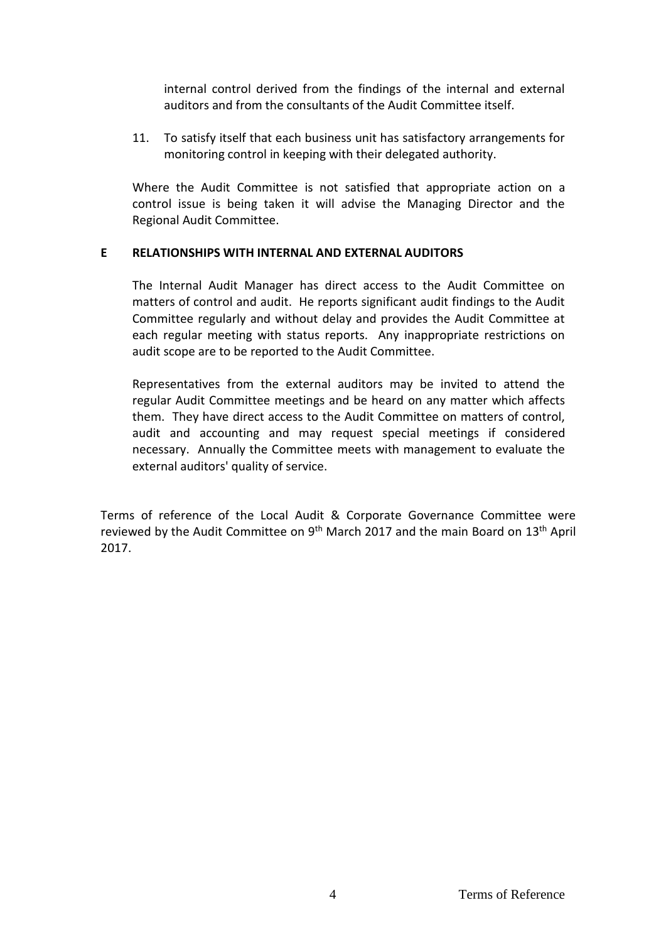internal control derived from the findings of the internal and external auditors and from the consultants of the Audit Committee itself.

11. To satisfy itself that each business unit has satisfactory arrangements for monitoring control in keeping with their delegated authority.

Where the Audit Committee is not satisfied that appropriate action on a control issue is being taken it will advise the Managing Director and the Regional Audit Committee.

## **E RELATIONSHIPS WITH INTERNAL AND EXTERNAL AUDITORS**

The Internal Audit Manager has direct access to the Audit Committee on matters of control and audit. He reports significant audit findings to the Audit Committee regularly and without delay and provides the Audit Committee at each regular meeting with status reports. Any inappropriate restrictions on audit scope are to be reported to the Audit Committee.

Representatives from the external auditors may be invited to attend the regular Audit Committee meetings and be heard on any matter which affects them. They have direct access to the Audit Committee on matters of control, audit and accounting and may request special meetings if considered necessary. Annually the Committee meets with management to evaluate the external auditors' quality of service.

Terms of reference of the Local Audit & Corporate Governance Committee were reviewed by the Audit Committee on 9<sup>th</sup> March 2017 and the main Board on 13<sup>th</sup> April 2017.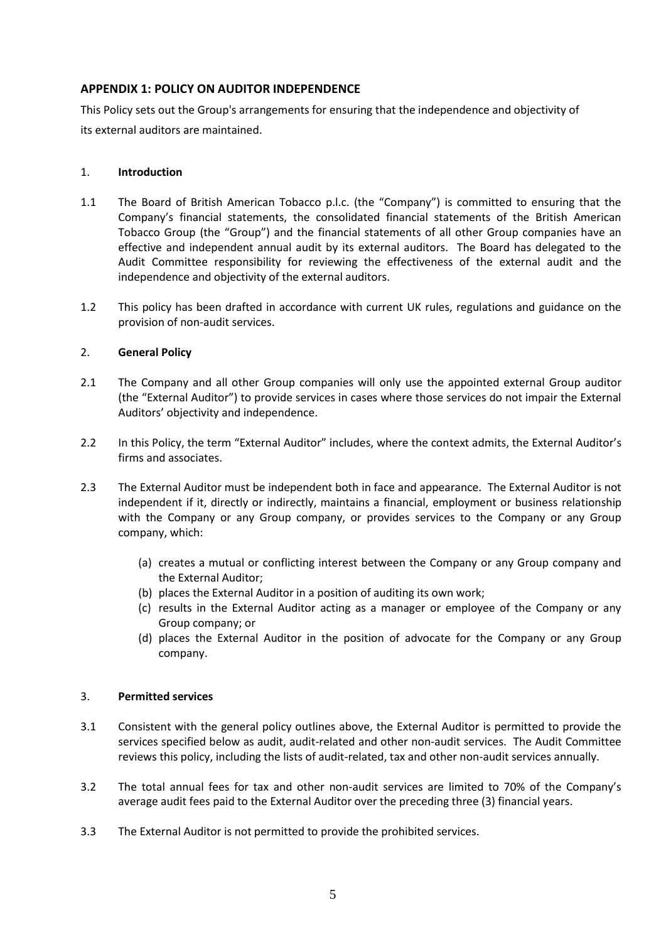## **APPENDIX 1: POLICY ON AUDITOR INDEPENDENCE**

This Policy sets out the Group's arrangements for ensuring that the independence and objectivity of its external auditors are maintained.

## 1. **Introduction**

- 1.1 The Board of British American Tobacco p.l.c. (the "Company") is committed to ensuring that the Company's financial statements, the consolidated financial statements of the British American Tobacco Group (the "Group") and the financial statements of all other Group companies have an effective and independent annual audit by its external auditors. The Board has delegated to the Audit Committee responsibility for reviewing the effectiveness of the external audit and the independence and objectivity of the external auditors.
- 1.2 This policy has been drafted in accordance with current UK rules, regulations and guidance on the provision of non-audit services.

## 2. **General Policy**

- 2.1 The Company and all other Group companies will only use the appointed external Group auditor (the "External Auditor") to provide services in cases where those services do not impair the External Auditors' objectivity and independence.
- 2.2 In this Policy, the term "External Auditor" includes, where the context admits, the External Auditor's firms and associates.
- 2.3 The External Auditor must be independent both in face and appearance. The External Auditor is not independent if it, directly or indirectly, maintains a financial, employment or business relationship with the Company or any Group company, or provides services to the Company or any Group company, which:
	- (a) creates a mutual or conflicting interest between the Company or any Group company and the External Auditor;
	- (b) places the External Auditor in a position of auditing its own work;
	- (c) results in the External Auditor acting as a manager or employee of the Company or any Group company; or
	- (d) places the External Auditor in the position of advocate for the Company or any Group company.

### 3. **Permitted services**

- 3.1 Consistent with the general policy outlines above, the External Auditor is permitted to provide the services specified below as audit, audit-related and other non-audit services. The Audit Committee reviews this policy, including the lists of audit-related, tax and other non-audit services annually.
- 3.2 The total annual fees for tax and other non-audit services are limited to 70% of the Company's average audit fees paid to the External Auditor over the preceding three (3) financial years.
- 3.3 The External Auditor is not permitted to provide the prohibited services.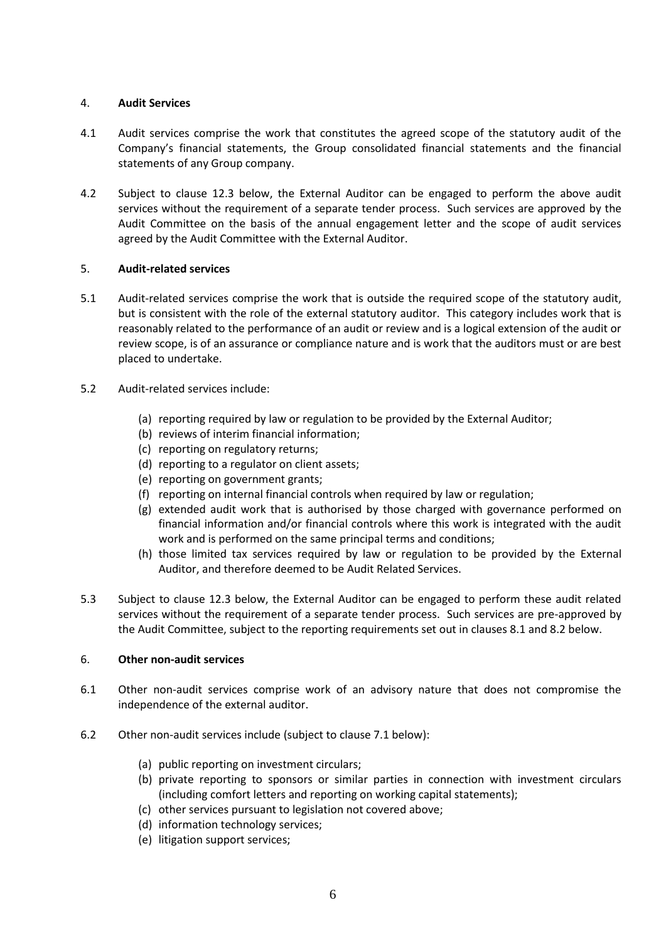## 4. **Audit Services**

- 4.1 Audit services comprise the work that constitutes the agreed scope of the statutory audit of the Company's financial statements, the Group consolidated financial statements and the financial statements of any Group company.
- 4.2 Subject to clause 12.3 below, the External Auditor can be engaged to perform the above audit services without the requirement of a separate tender process. Such services are approved by the Audit Committee on the basis of the annual engagement letter and the scope of audit services agreed by the Audit Committee with the External Auditor.

## 5. **Audit-related services**

- 5.1 Audit-related services comprise the work that is outside the required scope of the statutory audit, but is consistent with the role of the external statutory auditor. This category includes work that is reasonably related to the performance of an audit or review and is a logical extension of the audit or review scope, is of an assurance or compliance nature and is work that the auditors must or are best placed to undertake.
- 5.2 Audit-related services include:
	- (a) reporting required by law or regulation to be provided by the External Auditor;
	- (b) reviews of interim financial information;
	- (c) reporting on regulatory returns;
	- (d) reporting to a regulator on client assets;
	- (e) reporting on government grants;
	- (f) reporting on internal financial controls when required by law or regulation;
	- (g) extended audit work that is authorised by those charged with governance performed on financial information and/or financial controls where this work is integrated with the audit work and is performed on the same principal terms and conditions;
	- (h) those limited tax services required by law or regulation to be provided by the External Auditor, and therefore deemed to be Audit Related Services.
- 5.3 Subject to clause 12.3 below, the External Auditor can be engaged to perform these audit related services without the requirement of a separate tender process. Such services are pre-approved by the Audit Committee, subject to the reporting requirements set out in clauses 8.1 and 8.2 below.

### 6. **Other non-audit services**

- 6.1 Other non-audit services comprise work of an advisory nature that does not compromise the independence of the external auditor.
- 6.2 Other non-audit services include (subject to clause 7.1 below):
	- (a) public reporting on investment circulars;
	- (b) private reporting to sponsors or similar parties in connection with investment circulars (including comfort letters and reporting on working capital statements);
	- (c) other services pursuant to legislation not covered above;
	- (d) information technology services;
	- (e) litigation support services;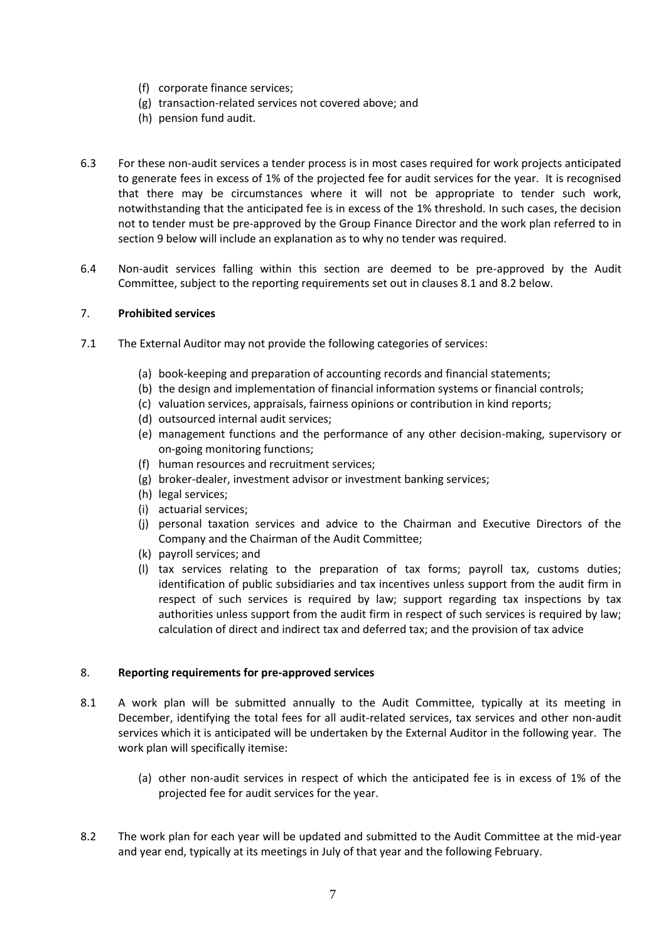- (f) corporate finance services;
- (g) transaction-related services not covered above; and
- (h) pension fund audit.
- 6.3 For these non-audit services a tender process is in most cases required for work projects anticipated to generate fees in excess of 1% of the projected fee for audit services for the year. It is recognised that there may be circumstances where it will not be appropriate to tender such work, notwithstanding that the anticipated fee is in excess of the 1% threshold. In such cases, the decision not to tender must be pre-approved by the Group Finance Director and the work plan referred to in section 9 below will include an explanation as to why no tender was required.
- 6.4 Non-audit services falling within this section are deemed to be pre-approved by the Audit Committee, subject to the reporting requirements set out in clauses 8.1 and 8.2 below.

## 7. **Prohibited services**

- 7.1 The External Auditor may not provide the following categories of services:
	- (a) book-keeping and preparation of accounting records and financial statements;
	- (b) the design and implementation of financial information systems or financial controls;
	- (c) valuation services, appraisals, fairness opinions or contribution in kind reports;
	- (d) outsourced internal audit services;
	- (e) management functions and the performance of any other decision-making, supervisory or on-going monitoring functions;
	- (f) human resources and recruitment services;
	- (g) broker-dealer, investment advisor or investment banking services;
	- (h) legal services;
	- (i) actuarial services;
	- (j) personal taxation services and advice to the Chairman and Executive Directors of the Company and the Chairman of the Audit Committee;
	- (k) payroll services; and
	- (l) tax services relating to the preparation of tax forms; payroll tax, customs duties; identification of public subsidiaries and tax incentives unless support from the audit firm in respect of such services is required by law; support regarding tax inspections by tax authorities unless support from the audit firm in respect of such services is required by law; calculation of direct and indirect tax and deferred tax; and the provision of tax advice

### 8. **Reporting requirements for pre-approved services**

- 8.1 A work plan will be submitted annually to the Audit Committee, typically at its meeting in December, identifying the total fees for all audit-related services, tax services and other non-audit services which it is anticipated will be undertaken by the External Auditor in the following year. The work plan will specifically itemise:
	- (a) other non-audit services in respect of which the anticipated fee is in excess of 1% of the projected fee for audit services for the year.
- 8.2 The work plan for each year will be updated and submitted to the Audit Committee at the mid-year and year end, typically at its meetings in July of that year and the following February.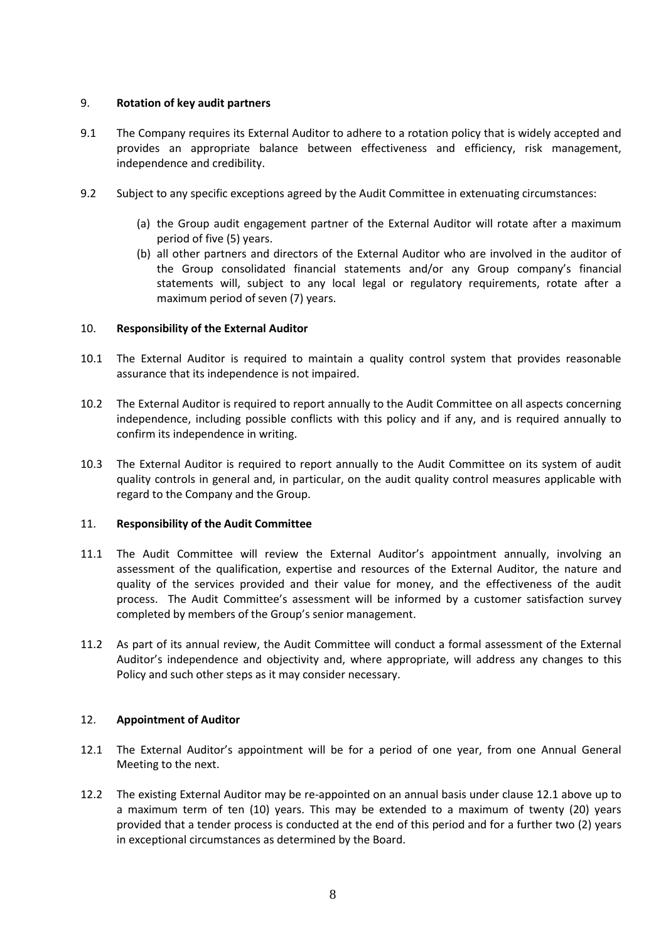### 9. **Rotation of key audit partners**

- 9.1 The Company requires its External Auditor to adhere to a rotation policy that is widely accepted and provides an appropriate balance between effectiveness and efficiency, risk management, independence and credibility.
- 9.2 Subject to any specific exceptions agreed by the Audit Committee in extenuating circumstances:
	- (a) the Group audit engagement partner of the External Auditor will rotate after a maximum period of five (5) years.
	- (b) all other partners and directors of the External Auditor who are involved in the auditor of the Group consolidated financial statements and/or any Group company's financial statements will, subject to any local legal or regulatory requirements, rotate after a maximum period of seven (7) years.

## 10. **Responsibility of the External Auditor**

- 10.1 The External Auditor is required to maintain a quality control system that provides reasonable assurance that its independence is not impaired.
- 10.2 The External Auditor is required to report annually to the Audit Committee on all aspects concerning independence, including possible conflicts with this policy and if any, and is required annually to confirm its independence in writing.
- 10.3 The External Auditor is required to report annually to the Audit Committee on its system of audit quality controls in general and, in particular, on the audit quality control measures applicable with regard to the Company and the Group.

### 11. **Responsibility of the Audit Committee**

- 11.1 The Audit Committee will review the External Auditor's appointment annually, involving an assessment of the qualification, expertise and resources of the External Auditor, the nature and quality of the services provided and their value for money, and the effectiveness of the audit process. The Audit Committee's assessment will be informed by a customer satisfaction survey completed by members of the Group's senior management.
- 11.2 As part of its annual review, the Audit Committee will conduct a formal assessment of the External Auditor's independence and objectivity and, where appropriate, will address any changes to this Policy and such other steps as it may consider necessary.

### 12. **Appointment of Auditor**

- 12.1 The External Auditor's appointment will be for a period of one year, from one Annual General Meeting to the next.
- 12.2 The existing External Auditor may be re-appointed on an annual basis under clause 12.1 above up to a maximum term of ten (10) years. This may be extended to a maximum of twenty (20) years provided that a tender process is conducted at the end of this period and for a further two (2) years in exceptional circumstances as determined by the Board.